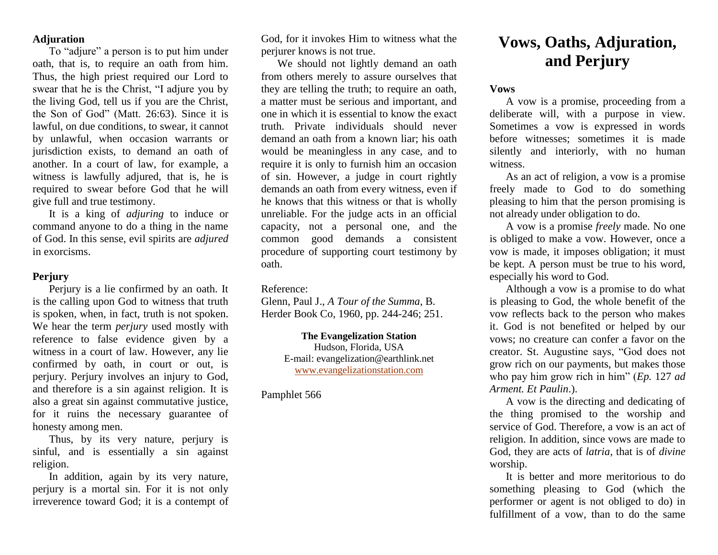## **Adjuration**

To "adjure" a person is to put him under oath, that is, to require an oath from him. Thus, the high priest required our Lord to swear that he is the Christ, "I adjure you by the living God, tell us if you are the Christ, the Son of God" (Matt. 26:63). Since it is lawful, on due conditions, to swear, it cannot by unlawful, when occasion warrants or jurisdiction exists, to demand an oath of another. In a court of law, for example, a witness is lawfully adjured, that is, he is required to swear before God that he will give full and true testimony.

It is a king of *adjuring* to induce or command anyone to do a thing in the name of God. In this sense, evil spirits are *adjured* in exorcisms.

## **Perjury**

Perjury is a lie confirmed by an oath. It is the calling upon God to witness that truth is spoken, when, in fact, truth is not spoken. We hear the term *perjury* used mostly with reference to false evidence given by a witness in a court of law. However, any lie confirmed by oath, in court or out, is perjury. Perjury involves an injury to God, and therefore is a sin against religion. It is also a great sin against commutative justice, for it ruins the necessary guarantee of honesty among men.

Thus, by its very nature, perjury is sinful, and is essentially a sin against religion.

In addition, again by its very nature, perjury is a mortal sin. For it is not only irreverence toward God; it is a contempt of

God, for it invokes Him to witness what the perjurer knows is not true.

We should not lightly demand an oath from others merely to assure ourselves that they are telling the truth; to require an oath, a matter must be serious and important, and one in which it is essential to know the exact truth. Private individuals should never demand an oath from a known liar; his oath would be meaningless in any case, and to require it is only to furnish him an occasion of sin. However, a judge in court rightly demands an oath from every witness, even if he knows that this witness or that is wholly unreliable. For the judge acts in an official capacity, not a personal one, and the common good demands a consistent procedure of supporting court testimony by oath.

## Reference:

Glenn, Paul J., *A Tour of the Summa*, B. Herder Book Co, 1960, pp. 244-246; 251.

> **The Evangelization Station** Hudson, Florida, USA E-mail: evangelization@earthlink.net [www.evangelizationstation.com](http://www.pjpiisoe.org/)

## Pamphlet 566

# **Vows, Oaths, Adjuration, and Perjury**

#### **Vows**

A vow is a promise, proceeding from a deliberate will, with a purpose in view. Sometimes a vow is expressed in words before witnesses; sometimes it is made silently and interiorly, with no human witness.

As an act of religion, a vow is a promise freely made to God to do something pleasing to him that the person promising is not already under obligation to do.

A vow is a promise *freely* made. No one is obliged to make a vow. However, once a vow is made, it imposes obligation; it must be kept. A person must be true to his word, especially his word to God.

Although a vow is a promise to do what is pleasing to God, the whole benefit of the vow reflects back to the person who makes it. God is not benefited or helped by our vows; no creature can confer a favor on the creator. St. Augustine says, "God does not grow rich on our payments, but makes those who pay him grow rich in him" (*Ep.* 127 *ad Arment. Et Paulin*.).

A vow is the directing and dedicating of the thing promised to the worship and service of God. Therefore, a vow is an act of religion. In addition, since vows are made to God, they are acts of *latria*, that is of *divine* worship.

It is better and more meritorious to do something pleasing to God (which the performer or agent is not obliged to do) in fulfillment of a vow, than to do the same